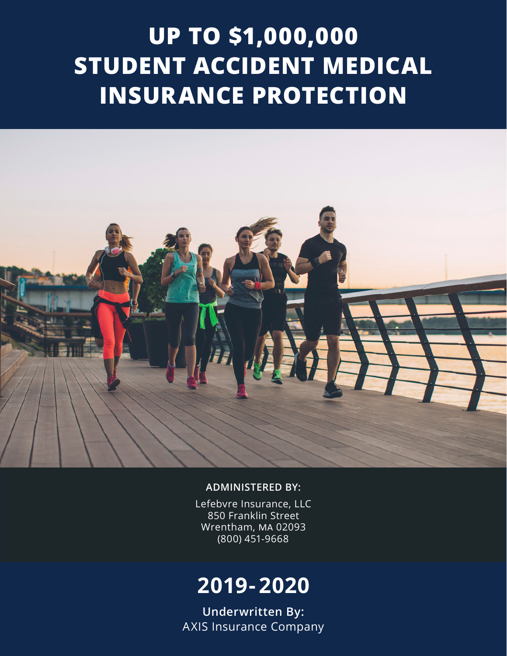# **UP TO \$1,000,000 STUDENT ACCIDENT MEDICAL INSURANCE PROTECTION**



#### **ADMINISTERED BY:**

Lefebvre Insurance, LLC 850 Franklin Street Wrentham, MA 02093 (800) 451-9668

## **2019- 2020**

**Underwritten By:** AXIS Insurance Company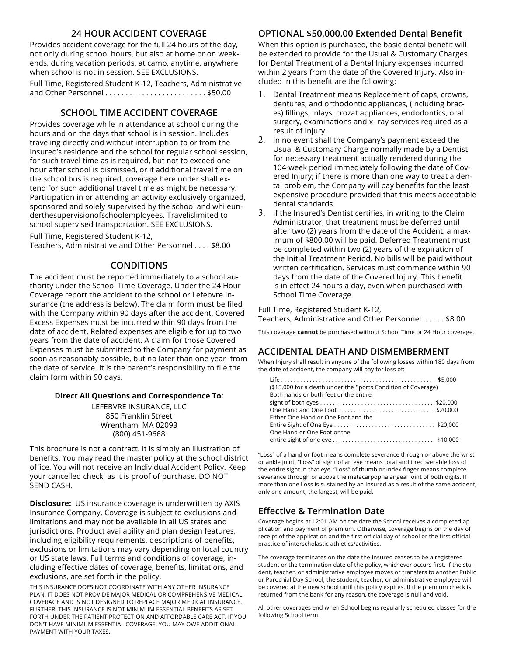#### **24 HOUR ACCIDENT COVERAGE**

Provides accident coverage for the full 24 hours of the day, not only during school hours, but also at home or on weekends, during vacation periods, at camp, anytime, anywhere when school is not in session. SEE EXCLUSIONS.

Full Time, Registered Student K-12, Teachers, Administrative and Other Personnel . . . . . . . . . . . . . . . . . . . . . . . . . \$50.00

#### **SCHOOL TIME ACCIDENT COVERAGE**

Provides coverage while in attendance at school during the hours and on the days that school is in session. Includes traveling directly and without interruption to or from the Insured's residence and the school for regular school session, for such travel time as is required, but not to exceed one hour after school is dismissed, or if additional travel time on the school bus is required, coverage here under shall extend for such additional travel time as might be necessary. Participation in or attending an activity exclusively organized, sponsored and solely supervised by the school and whileunderthesupervisionofschoolemployees. Travelislimited to school supervised transportation. SEE EXCLUSIONS.

Full Time, Registered Student K-12, Teachers, Administrative and Other Personnel . . . . \$8.00

#### **CONDITIONS**

The accident must be reported immediately to a school authority under the School Time Coverage. Under the 24 Hour Coverage report the accident to the school or Lefebvre Insurance (the address is below). The claim form must be filed with the Company within 90 days after the accident. Covered Excess Expenses must be incurred within 90 days from the date of accident. Related expenses are eligible for up to two years from the date of accident. A claim for those Covered Expenses must be submitted to the Company for payment as soon as reasonably possible, but no later than one year from the date of service. It is the parent's responsibility to file the claim form within 90 days.

#### **Direct All Questions and Correspondence To:**

LEFEBVRE INSURANCE, LLC 850 Franklin Street Wrentham, MA 02093 (800) 451-9668

This brochure is not a contract. It is simply an illustration of benefits. You may read the master policy at the school district office. You will not receive an Individual Accident Policy. Keep your cancelled check, as it is proof of purchase. DO NOT SEND CASH.

**Disclosure:** US insurance coverage is underwritten by AXIS Insurance Company. Coverage is subject to exclusions and limitations and may not be available in all US states and jurisdictions. Product availability and plan design features, including eligibility requirements, descriptions of benefits, exclusions or limitations may vary depending on local country or US state laws. Full terms and conditions of coverage, including effective dates of coverage, benefits, limitations, and exclusions, are set forth in the policy.

THIS INSURANCE DOES NOT COORDINATE WITH ANY OTHER INSURANCE PLAN. IT DOES NOT PROVIDE MAJOR MEDICAL OR COMPREHENSIVE MEDICAL COVERAGE AND IS NOT DESIGNED TO REPLACE MAJOR MEDICAL INSURANCE. FURTHER, THIS INSURANCE IS NOT MINIMUM ESSENTIAL BENEFITS AS SET FORTH UNDER THE PATIENT PROTECTION AND AFFORDABLE CARE ACT. IF YOU DON'T HAVE MINIMUM ESSENTIAL COVERAGE, YOU MAY OWE ADDITIONAL PAYMENT WITH YOUR TAXES.

#### **OPTIONAL \$50,000.00 Extended Dental Benefit**

When this option is purchased, the basic dental benefit will be extended to provide for the Usual & Customary Charges for Dental Treatment of a Dental Injury expenses incurred within 2 years from the date of the Covered Injury. Also included in this benefit are the following:

- 1. Dental Treatment means Replacement of caps, crowns, dentures, and orthodontic appliances, (including braces) fillings, inlays, crozat appliances, endodontics, oral surgery, examinations and x- ray services required as a result of Injury.
- 2. In no event shall the Company's payment exceed the Usual & Customary Charge normally made by a Dentist for necessary treatment actually rendered during the 104-week period immediately following the date of Covered Injury; if there is more than one way to treat a dental problem, the Company will pay benefits for the least expensive procedure provided that this meets acceptable dental standards.
- 3. If the Insured's Dentist certifies, in writing to the Claim Administrator, that treatment must be deferred until after two (2) years from the date of the Accident, a maximum of \$800.00 will be paid. Deferred Treatment must be completed within two (2) years of the expiration of the Initial Treatment Period. No bills will be paid without written certification. Services must commence within 90 days from the date of the Covered Injury. This benefit is in effect 24 hours a day, even when purchased with School Time Coverage.

Full Time, Registered Student K-12,

Teachers, Administrative and Other Personnel . . . . . \$8.00

This coverage **cannot** be purchased without School Time or 24 Hour coverage.

#### **ACCIDENTAL DEATH AND DISMEMBERMENT**

When Injury shall result in anyone of the following losses within 180 days from the date of accident, the company will pay for loss of:

| (\$15,000 for a death under the Sports Condition of Coverage)<br>Both hands or both feet or the entire |  |
|--------------------------------------------------------------------------------------------------------|--|
|                                                                                                        |  |
|                                                                                                        |  |
| Either One Hand or One Foot and the                                                                    |  |
|                                                                                                        |  |
| One Hand or One Foot or the                                                                            |  |
|                                                                                                        |  |

"Loss" of a hand or foot means complete severance through or above the wrist or ankle joint. "Loss" of sight of an eye means total and irrecoverable loss of the entire sight in that eye. "Loss" of thumb or index finger means complete severance through or above the metacarpophalangeal joint of both digits. If more than one Loss is sustained by an Insured as a result of the same accident, only one amount, the largest, will be paid.

#### **Effective & Termination Date**

Coverage begins at 12:01 AM on the date the School receives a completed application and payment of premium. Otherwise, coverage begins on the day of receipt of the application and the first official day of school or the first official practice of interscholastic athletics/activities.

The coverage terminates on the date the Insured ceases to be a registered student or the termination date of the policy, whichever occurs first. If the student, teacher, or administrative employee moves or transfers to another Public or Parochial Day School, the student, teacher, or administrative employee will be covered at the new school until this policy expires. If the premium check is returned from the bank for any reason, the coverage is null and void.

All other coverages end when School begins regularly scheduled classes for the following School term.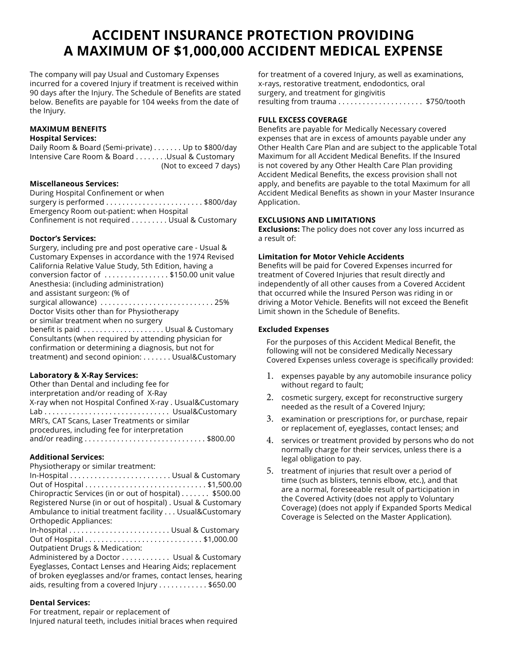## **ACCIDENT INSURANCE PROTECTION PROVIDING A MAXIMUM OF \$1,000,000 ACCIDENT MEDICAL EXPENSE**

The company will pay Usual and Customary Expenses incurred for a covered Injury if treatment is received within 90 days after the Injury. The Schedule of Benefits are stated below. Benefits are payable for 104 weeks from the date of the Injury.

#### **MAXIMUM BENEFITS Hospital Services:**

Daily Room & Board (Semi-private) . . . . . . . Up to \$800/day Intensive Care Room & Board . . . . . . . . Usual & Customary (Not to exceed 7 days)

#### **Miscellaneous Services:**

During Hospital Confinement or when surgery is performed . . . . . . . . . . . . . . . . . . . . . . . . \$800/day Emergency Room out-patient: when Hospital Confinement is not required . . . . . . . . . Usual & Customary

#### **Doctor's Services:**

Surgery, including pre and post operative care - Usual & Customary Expenses in accordance with the 1974 Revised California Relative Value Study, 5th Edition, having a conversion factor of . . . . . . . . . . . . . . . . \$150.00 unit value Anesthesia: (including administration) and assistant surgeon: (% of surgical allowance) . . . . . . . . . . . . . . . . . . . . . . . . . . . . 25% Doctor Visits other than for Physiotherapy or similar treatment when no surgery benefit is paid . . . . . . . . . . . . . . . . . . . . Usual & Customary Consultants (when required by attending physician for confirmation or determining a diagnosis, but not for treatment) and second opinion: . . . . . . . Usual&Customary

#### **Laboratory & X-Ray Services:**

Other than Dental and including fee for interpretation and/or reading of X-Ray X-ray when not Hospital Confined X-ray . Usual&Customary Lab . . . . . . . . . . . . . . . . . . . . . . . . . . . . . . . Usual&Customary MRI's, CAT Scans, Laser Treatments or similar procedures, including fee for interpretation and/or reading . . . . . . . . . . . . . . . . . . . . . . . . . . . . . . \$800.00

#### **Additional Services:**

Physiotherapy or similar treatment:

In-Hospital . . . . . . . . . . . . . . . . . . . . . . . . . Usual & Customary Out of Hospital . . . . . . . . . . . . . . . . . . . . . . . . . . . . . . \$1,500.00 Chiropractic Services (in or out of hospital) . . . . . . . \$500.00 Registered Nurse (in or out of hospital) . Usual & Customary Ambulance to initial treatment facility . . . Usual&Customary Orthopedic Appliances: In-hospital . . . . . . . . . . . . . . . . . . . . . . . . . Usual & Customary Out of Hospital . . . . . . . . . . . . . . . . . . . . . . . . . . . . . \$1,000.00 Outpatient Drugs & Medication: Administered by a Doctor . . . . . . . . . . . . Usual & Customary Eyeglasses, Contact Lenses and Hearing Aids; replacement of broken eyeglasses and/or frames, contact lenses, hearing

#### aids, resulting from a covered Injury . . . . . . . . . . . \$650.00

#### **Dental Services:**

For treatment, repair or replacement of Injured natural teeth, includes initial braces when required for treatment of a covered Injury, as well as examinations, x-rays, restorative treatment, endodontics, oral surgery, and treatment for gingivitis resulting from trauma . . . . . . . . . . . . . . . . . . . . . \$750/tooth

#### **FULL EXCESS COVERAGE**

Benefits are payable for Medically Necessary covered expenses that are in excess of amounts payable under any Other Health Care Plan and are subject to the applicable Total Maximum for all Accident Medical Benefits. If the Insured is not covered by any Other Health Care Plan providing Accident Medical Benefits, the excess provision shall not apply, and benefits are payable to the total Maximum for all Accident Medical Benefits as shown in your Master Insurance Application.

#### **EXCLUSIONS AND LIMITATIONS**

**Exclusions:** The policy does not cover any loss incurred as a result of:

#### **Limitation for Motor Vehicle Accidents**

Benefits will be paid for Covered Expenses incurred for treatment of Covered Injuries that result directly and independently of all other causes from a Covered Accident that occurred while the Insured Person was riding in or driving a Motor Vehicle. Benefits will not exceed the Benefit Limit shown in the Schedule of Benefits.

#### **Excluded Expenses**

For the purposes of this Accident Medical Benefit, the following will not be considered Medically Necessary Covered Expenses unless coverage is specifically provided:

- 1. expenses payable by any automobile insurance policy without regard to fault;
- 2. cosmetic surgery, except for reconstructive surgery needed as the result of a Covered Injury;
- 3. examination or prescriptions for, or purchase, repair or replacement of, eyeglasses, contact lenses; and
- 4. services or treatment provided by persons who do not normally charge for their services, unless there is a legal obligation to pay.
- 5. treatment of injuries that result over a period of time (such as blisters, tennis elbow, etc.), and that are a normal, foreseeable result of participation in the Covered Activity (does not apply to Voluntary Coverage) (does not apply if Expanded Sports Medical Coverage is Selected on the Master Application).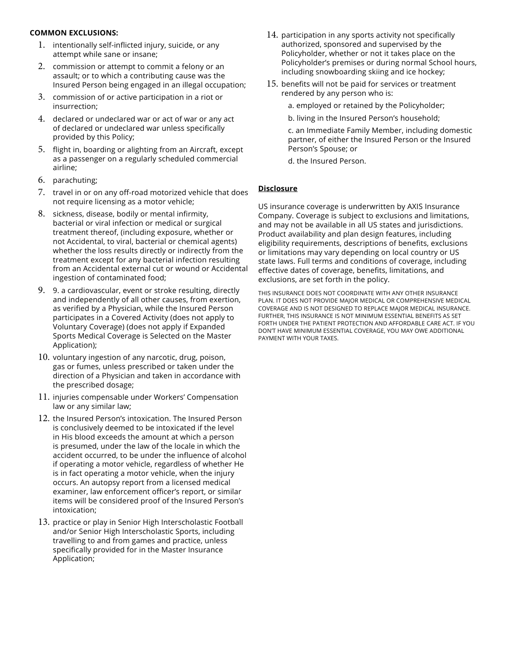#### **COMMON EXCLUSIONS:**

- 1. intentionally self-inflicted injury, suicide, or any attempt while sane or insane;
- 2. commission or attempt to commit a felony or an assault; or to which a contributing cause was the Insured Person being engaged in an illegal occupation;
- 3. commission of or active participation in a riot or insurrection;
- 4. declared or undeclared war or act of war or any act of declared or undeclared war unless specifically provided by this Policy;
- 5. flight in, boarding or alighting from an Aircraft, except as a passenger on a regularly scheduled commercial airline;
- 6. parachuting;
- 7. travel in or on any off-road motorized vehicle that does not require licensing as a motor vehicle;
- 8. sickness, disease, bodily or mental infirmity, bacterial or viral infection or medical or surgical treatment thereof, (including exposure, whether or not Accidental, to viral, bacterial or chemical agents) whether the loss results directly or indirectly from the treatment except for any bacterial infection resulting from an Accidental external cut or wound or Accidental ingestion of contaminated food;
- 9. 9. a cardiovascular, event or stroke resulting, directly and independently of all other causes, from exertion, as verified by a Physician, while the Insured Person participates in a Covered Activity (does not apply to Voluntary Coverage) (does not apply if Expanded Sports Medical Coverage is Selected on the Master Application);
- 10. voluntary ingestion of any narcotic, drug, poison, gas or fumes, unless prescribed or taken under the direction of a Physician and taken in accordance with the prescribed dosage;
- 11. injuries compensable under Workers' Compensation law or any similar law;
- 12. the Insured Person's intoxication. The Insured Person is conclusively deemed to be intoxicated if the level in His blood exceeds the amount at which a person is presumed, under the law of the locale in which the accident occurred, to be under the influence of alcohol if operating a motor vehicle, regardless of whether He is in fact operating a motor vehicle, when the injury occurs. An autopsy report from a licensed medical examiner, law enforcement officer's report, or similar items will be considered proof of the Insured Person's intoxication;
- 13. practice or play in Senior High Interscholastic Football and/or Senior High Interscholastic Sports, including travelling to and from games and practice, unless specifically provided for in the Master Insurance Application;
- 14. participation in any sports activity not specifically authorized, sponsored and supervised by the Policyholder, whether or not it takes place on the Policyholder's premises or during normal School hours, including snowboarding skiing and ice hockey;
- 15. benefits will not be paid for services or treatment rendered by any person who is:
	- a. employed or retained by the Policyholder;
	- b. living in the Insured Person's household;

c. an Immediate Family Member, including domestic partner, of either the Insured Person or the Insured Person's Spouse; or

d. the Insured Person.

#### **Disclosure**

US insurance coverage is underwritten by AXIS Insurance Company. Coverage is subject to exclusions and limitations, and may not be available in all US states and jurisdictions. Product availability and plan design features, including eligibility requirements, descriptions of benefits, exclusions or limitations may vary depending on local country or US state laws. Full terms and conditions of coverage, including effective dates of coverage, benefits, limitations, and exclusions, are set forth in the policy.

THIS INSURANCE DOES NOT COORDINATE WITH ANY OTHER INSURANCE PLAN. IT DOES NOT PROVIDE MAJOR MEDICAL OR COMPREHENSIVE MEDICAL COVERAGE AND IS NOT DESIGNED TO REPLACE MAJOR MEDICAL INSURANCE. FURTHER, THIS INSURANCE IS NOT MINIMUM ESSENTIAL BENEFITS AS SET FORTH UNDER THE PATIENT PROTECTION AND AFFORDABLE CARE ACT. IF YOU DON'T HAVE MINIMUM ESSENTIAL COVERAGE, YOU MAY OWE ADDITIONAL PAYMENT WITH YOUR TAXES.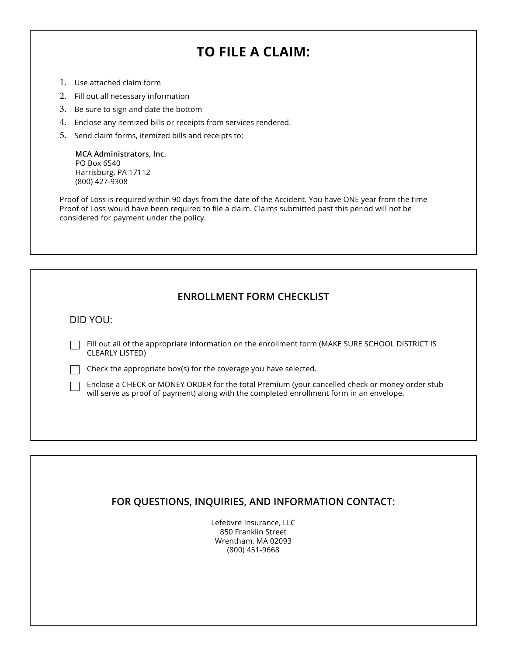## **TO FILE A CLAIM:**

- 1. Use attached claim form
- 2. Fill out all necessary information
- 3. Be sure to sign and date the bottom
- 4. Enclose any itemized bills or receipts from services rendered.
- 5. Send claim forms, itemized bills and receipts to:

**MCA Administrators, Inc.** PO Box 6540 Harrisburg, PA 17112 (800) 427-9308

Proof of Loss is required within 90 days from the date of the Accident. You have ONE year from the time Proof of Loss would have been required to file a claim. Claims submitted past this period will not be considered for payment under the policy.

#### **ENROLLMENT FORM CHECKLIST**

DID YOU:

Fill out all of the appropriate information on the enrollment form (MAKE SURE SCHOOL DISTRICT IS CLEARLY LISTED)

 $\Box$  Check the appropriate box(s) for the coverage you have selected.

Finclose a CHECK or MONEY ORDER for the total Premium (your cancelled check or money order stub will serve as proof of payment) along with the completed enrollment form in an envelope.

#### **FOR QUESTIONS, INQUIRIES, AND INFORMATION CONTACT:**

Lefebvre Insurance, LLC 850 Franklin Street Wrentham, MA 02093 (800) 451-9668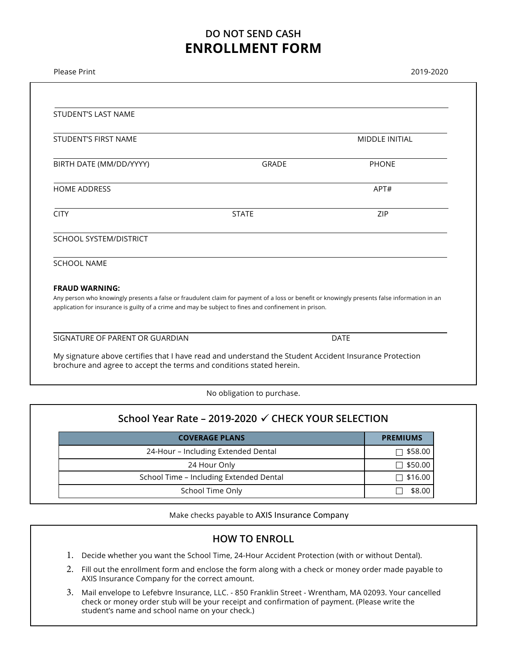### **DO NOT SEND CASH ENROLLMENT FORM**

| Please Print                                                                                                                                                                                                                                          |              | 2019-2020             |  |  |  |
|-------------------------------------------------------------------------------------------------------------------------------------------------------------------------------------------------------------------------------------------------------|--------------|-----------------------|--|--|--|
|                                                                                                                                                                                                                                                       |              |                       |  |  |  |
| <b>STUDENT'S LAST NAME</b>                                                                                                                                                                                                                            |              |                       |  |  |  |
| <b>STUDENT'S FIRST NAME</b>                                                                                                                                                                                                                           |              | <b>MIDDLE INITIAL</b> |  |  |  |
| BIRTH DATE (MM/DD/YYYY)                                                                                                                                                                                                                               | <b>GRADE</b> | <b>PHONE</b>          |  |  |  |
| <b>HOME ADDRESS</b>                                                                                                                                                                                                                                   |              | APT#                  |  |  |  |
| <b>CITY</b>                                                                                                                                                                                                                                           | <b>STATE</b> | ZIP                   |  |  |  |
| SCHOOL SYSTEM/DISTRICT                                                                                                                                                                                                                                |              |                       |  |  |  |
| <b>SCHOOL NAME</b>                                                                                                                                                                                                                                    |              |                       |  |  |  |
| <b>FRAUD WARNING:</b>                                                                                                                                                                                                                                 |              |                       |  |  |  |
| Any person who knowingly presents a false or fraudulent claim for payment of a loss or benefit or knowingly presents false information in an<br>application for insurance is guilty of a crime and may be subject to fines and confinement in prison. |              |                       |  |  |  |
| SIGNATURE OF PARENT OR GUARDIAN                                                                                                                                                                                                                       |              | <b>DATE</b>           |  |  |  |
| My signature above certifies that I have read and understand the Student Accident Insurance Protection<br>brochure and agree to accept the terms and conditions stated herein.                                                                        |              |                       |  |  |  |

No obligation to purchase.

| School Year Rate – 2019-2020 √ CHECK YOUR SELECTION |  |  |  |  |
|-----------------------------------------------------|--|--|--|--|
| <b>PREMIUMS</b>                                     |  |  |  |  |
| $\Box$ \$58.00                                      |  |  |  |  |
| $\Box$ \$50.00                                      |  |  |  |  |
| $\Box$ \$16.00                                      |  |  |  |  |
| \$8.00                                              |  |  |  |  |
|                                                     |  |  |  |  |

Make checks payable to AXIS Insurance Company

#### **HOW TO ENROLL**

- 1. Decide whether you want the School Time, 24-Hour Accident Protection (with or without Dental).
- 2. Fill out the enrollment form and enclose the form along with a check or money order made payable to AXIS Insurance Company for the correct amount.
- 3. Mail envelope to Lefebvre Insurance, LLC. 850 Franklin Street Wrentham, MA 02093. Your cancelled check or money order stub will be your receipt and confirmation of payment. (Please write the student's name and school name on your check.)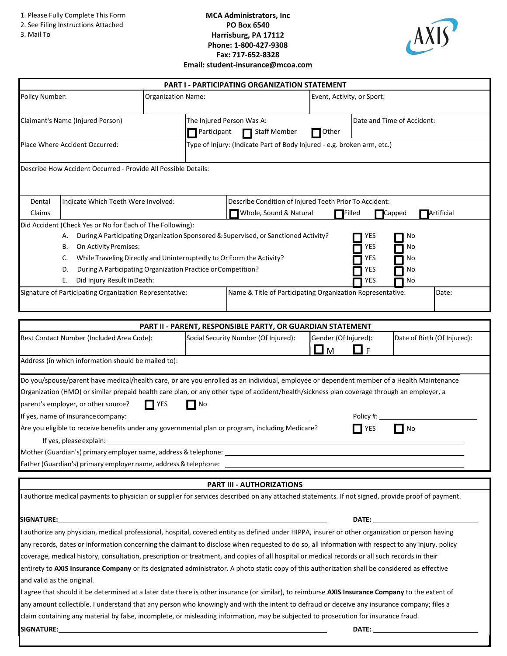1. Please Fully Complete This Form

- 2. See Filing Instructions Attached
- 3. Mail To

#### **MCA Administrators, Inc PO Box 6540 Harrisburg, PA 17112 Phone: 1-800-427-9308 Fax: 717-652-8328 Email: student-insurance@mcoa.com**



|                                                         |                                                                                                                                                                                                                                                                                                                                                                                                                                                                                                                 |             |                                                                                                                             | PART I - PARTICIPATING ORGANIZATION STATEMENT                                       |                      |                                 |                             |
|---------------------------------------------------------|-----------------------------------------------------------------------------------------------------------------------------------------------------------------------------------------------------------------------------------------------------------------------------------------------------------------------------------------------------------------------------------------------------------------------------------------------------------------------------------------------------------------|-------------|-----------------------------------------------------------------------------------------------------------------------------|-------------------------------------------------------------------------------------|----------------------|---------------------------------|-----------------------------|
| Policy Number:                                          | Event, Activity, or Sport:<br>Organization Name:                                                                                                                                                                                                                                                                                                                                                                                                                                                                |             |                                                                                                                             |                                                                                     |                      |                                 |                             |
| Claimant's Name (Injured Person)                        |                                                                                                                                                                                                                                                                                                                                                                                                                                                                                                                 |             | The Injured Person Was A:<br><b>Staff Member</b><br>$\mathsf{T}$ Participant                                                |                                                                                     |                      | Date and Time of Accident:      |                             |
|                                                         | Place Where Accident Occurred:                                                                                                                                                                                                                                                                                                                                                                                                                                                                                  |             |                                                                                                                             | Type of Injury: (Indicate Part of Body Injured - e.g. broken arm, etc.)             |                      |                                 |                             |
|                                                         | Describe How Accident Occurred - Provide All Possible Details:                                                                                                                                                                                                                                                                                                                                                                                                                                                  |             |                                                                                                                             |                                                                                     |                      |                                 |                             |
| Indicate Which Teeth Were Involved:<br>Dental<br>Claims |                                                                                                                                                                                                                                                                                                                                                                                                                                                                                                                 |             | Describe Condition of Injured Teeth Prior To Accident:<br>Whole, Sound & Natural<br>Artificial<br>$\sqcap$ Filled<br>Capped |                                                                                     |                      |                                 |                             |
|                                                         | Did Accident (Check Yes or No for Each of The Following):<br>А.<br>On Activity Premises:<br>В.<br>While Traveling Directly and Uninterruptedly to Or Form the Activity?<br>C.<br>During A Participating Organization Practice or Competition?<br>D.<br>Did Injury Result in Death:<br>Е.                                                                                                                                                                                                                        |             |                                                                                                                             | During A Participating Organization Sponsored & Supervised, or Sanctioned Activity? |                      | YES<br>YES<br>YES<br>YES<br>YES | No<br>No<br>No<br>No<br>No  |
|                                                         | Signature of Participating Organization Representative:                                                                                                                                                                                                                                                                                                                                                                                                                                                         |             |                                                                                                                             | Name & Title of Participating Organization Representative:                          |                      |                                 | Date:                       |
|                                                         |                                                                                                                                                                                                                                                                                                                                                                                                                                                                                                                 |             |                                                                                                                             | <b>PART II - PARENT, RESPONSIBLE PARTY, OR GUARDIAN STATEMENT</b>                   |                      |                                 |                             |
|                                                         | Best Contact Number (Included Area Code):                                                                                                                                                                                                                                                                                                                                                                                                                                                                       |             |                                                                                                                             | Social Security Number (Of Injured):                                                | Gender (Of Injured): | ∐F                              | Date of Birth (Of Injured): |
|                                                         | Address (in which information should be mailed to):                                                                                                                                                                                                                                                                                                                                                                                                                                                             |             |                                                                                                                             |                                                                                     |                      |                                 |                             |
|                                                         | Do you/spouse/parent have medical/health care, or are you enrolled as an individual, employee or dependent member of a Health Maintenance<br>Organization (HMO) or similar prepaid health care plan, or any other type of accident/health/sickness plan coverage through an employer, a<br>parent's employer, or other source?<br>If yes, name of insurance company: ___________<br>Are you eligible to receive benefits under any governmental plan or program, including Medicare?<br>If yes, please explain: | <b>TYES</b> | No                                                                                                                          |                                                                                     |                      | Policy#:<br>YES                 | $\Box$ No                   |
|                                                         |                                                                                                                                                                                                                                                                                                                                                                                                                                                                                                                 |             |                                                                                                                             |                                                                                     |                      |                                 |                             |
|                                                         | Father (Guardian's) primary employer name, address & telephone: _                                                                                                                                                                                                                                                                                                                                                                                                                                               |             |                                                                                                                             |                                                                                     |                      |                                 |                             |
|                                                         | I authorize medical payments to physician or supplier for services described on any attached statements. If not signed, provide proof of payment.                                                                                                                                                                                                                                                                                                                                                               |             |                                                                                                                             | <b>PART III - AUTHORIZATIONS</b>                                                    |                      |                                 |                             |
|                                                         |                                                                                                                                                                                                                                                                                                                                                                                                                                                                                                                 |             |                                                                                                                             |                                                                                     |                      |                                 |                             |
| <b>SIGNATURE:</b>                                       |                                                                                                                                                                                                                                                                                                                                                                                                                                                                                                                 |             |                                                                                                                             |                                                                                     |                      | DATE:                           |                             |
|                                                         | I authorize any physician, medical professional, hospital, covered entity as defined under HIPPA, insurer or other organization or person having<br>any records, dates or information concerning the claimant to disclose when requested to do so, all information with respect to any injury, policy                                                                                                                                                                                                           |             |                                                                                                                             |                                                                                     |                      |                                 |                             |
|                                                         | coverage, medical history, consultation, prescription or treatment, and copies of all hospital or medical records or all such records in their                                                                                                                                                                                                                                                                                                                                                                  |             |                                                                                                                             |                                                                                     |                      |                                 |                             |
|                                                         | entirety to AXIS Insurance Company or its designated administrator. A photo static copy of this authorization shall be considered as effective                                                                                                                                                                                                                                                                                                                                                                  |             |                                                                                                                             |                                                                                     |                      |                                 |                             |
| and valid as the original.                              |                                                                                                                                                                                                                                                                                                                                                                                                                                                                                                                 |             |                                                                                                                             |                                                                                     |                      |                                 |                             |
|                                                         | I agree that should it be determined at a later date there is other insurance (or similar), to reimburse AXIS Insurance Company to the extent of<br>any amount collectible. I understand that any person who knowingly and with the intent to defraud or deceive any insurance company; files a                                                                                                                                                                                                                 |             |                                                                                                                             |                                                                                     |                      |                                 |                             |
|                                                         | claim containing any material by false, incomplete, or misleading information, may be subjected to prosecution for insurance fraud.                                                                                                                                                                                                                                                                                                                                                                             |             |                                                                                                                             |                                                                                     |                      |                                 |                             |
| <b>SIGNATURE:</b>                                       |                                                                                                                                                                                                                                                                                                                                                                                                                                                                                                                 |             |                                                                                                                             |                                                                                     |                      | DATE:                           |                             |